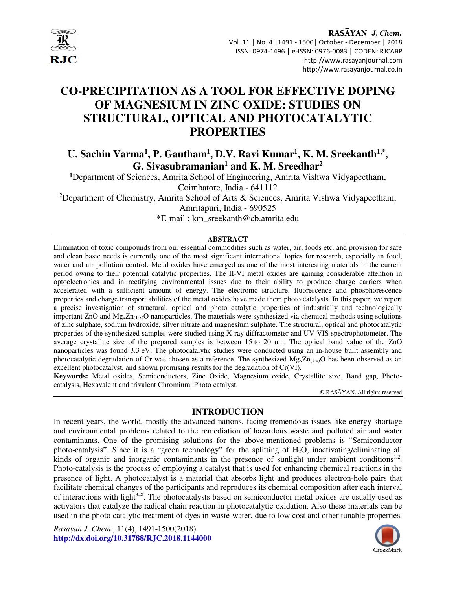

RASAYAN J. Chem. Vol. 11 | No. 4 |1491 - 1500| October - December | 2018 ISSN: 0974-1496 | e-ISSN: 0976-0083 | CODEN: RJCABP http://www.rasayanjournal.com http://www.rasayanjournal.co.in

# **CO-PRECIPITATION AS A TOOL FOR EFFECTIVE DOPING OF MAGNESIUM IN ZINC OXIDE: STUDIES ON STRUCTURAL, OPTICAL AND PHOTOCATALYTIC PROPERTIES**

## U. Sachin Varma<sup>1</sup>, P. Gautham<sup>1</sup>, D.V. Ravi Kumar<sup>1</sup>, K. M. Sreekanth<sup>1,\*</sup>, **G. Sivasubramanian<sup>1</sup> and K. M. Sreedhar<sup>2</sup>**

**<sup>1</sup>**Department of Sciences, Amrita School of Engineering, Amrita Vishwa Vidyapeetham,

Coimbatore, India - 641112

<sup>2</sup>Department of Chemistry, Amrita School of Arts & Sciences, Amrita Vishwa Vidyapeetham,

Amritapuri, India - 690525

\*E-mail : km\_sreekanth@cb.amrita.edu

#### **ABSTRACT**

Elimination of toxic compounds from our essential commodities such as water, air, foods etc. and provision for safe and clean basic needs is currently one of the most significant international topics for research, especially in food, water and air pollution control. Metal oxides have emerged as one of the most interesting materials in the current period owing to their potential catalytic properties. The II-VI metal oxides are gaining considerable attention in optoelectronics and in rectifying environmental issues due to their ability to produce charge carriers when accelerated with a sufficient amount of energy. The electronic structure, fluorescence and phosphorescence properties and charge transport abilities of the metal oxides have made them photo catalysts. In this paper, we report a precise investigation of structural, optical and photo catalytic properties of industrially and technologically important ZnO and  $Mg_xZn_{(1-x)}O$  nanoparticles. The materials were synthesized via chemical methods using solutions of zinc sulphate, sodium hydroxide, silver nitrate and magnesium sulphate. The structural, optical and photocatalytic properties of the synthesized samples were studied using X-ray diffractometer and UV-VIS spectrophotometer. The average crystallite size of the prepared samples is between 15 to 20 nm. The optical band value of the ZnO nanoparticles was found 3.3 eV. The photocatalytic studies were conducted using an in-house built assembly and photocatalytic degradation of Cr was chosen as a reference. The synthesized Mg<sub>x</sub>Zn<sub>(1-x)</sub>O has been observed as an excellent photocatalyst, and shown promising results for the degradation of Cr(VI).

**Keywords:** Metal oxides, Semiconductors, Zinc Oxide, Magnesium oxide, Crystallite size, Band gap, Photocatalysis, Hexavalent and trivalent Chromium, Photo catalyst.

© RASĀYAN. All rights reserved

## **INTRODUCTION**

In recent years, the world, mostly the advanced nations, facing tremendous issues like energy shortage and environmental problems related to the remediation of hazardous waste and polluted air and water contaminants. One of the promising solutions for the above-mentioned problems is "Semiconductor photo-catalysis". Since it is a "green technology" for the splitting of H2O, inactivating/eliminating all kinds of organic and inorganic contaminants in the presence of sunlight under ambient conditions<sup>1,2</sup>. Photo-catalysis is the process of employing a catalyst that is used for enhancing chemical reactions in the presence of light. A photocatalyst is a material that absorbs light and produces electron-hole pairs that facilitate chemical changes of the participants and reproduces its chemical composition after each interval of interactions with light $3-8$ . The photocatalysts based on semiconductor metal oxides are usually used as activators that catalyze the radical chain reaction in photocatalytic oxidation. Also these materials can be used in the photo catalytic treatment of dyes in waste-water, due to low cost and other tunable properties,

*Rasayan J. Chem*., 11(4), 1491-1500(2018) **http://dx.doi.org/10.31788/RJC.2018.1144000**

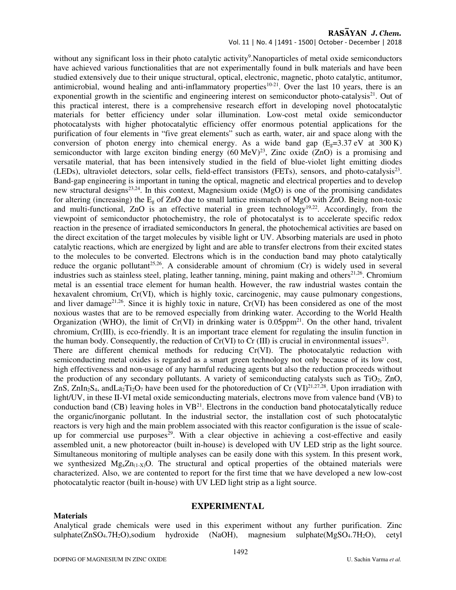Vol. 11 | No. 4 |1491 - 1500| October - December | 2018

without any significant loss in their photo catalytic activity<sup>9</sup>. Nanoparticles of metal oxide semiconductors have achieved various functionalities that are not experimentally found in bulk materials and have been studied extensively due to their unique structural, optical, electronic, magnetic, photo catalytic, antitumor, antimicrobial, wound healing and anti-inflammatory properties<sup>10-21</sup>. Over the last 10 years, there is an exponential growth in the scientific and engineering interest on semiconductor photo-catalysis $2<sup>1</sup>$ . Out of this practical interest, there is a comprehensive research effort in developing novel photocatalytic materials for better efficiency under solar illumination. Low-cost metal oxide semiconductor photocatalysts with higher photocatalytic efficiency offer enormous potential applications for the purification of four elements in "five great elements" such as earth, water, air and space along with the conversion of photon energy into chemical energy. As a wide band gap  $(E_e=3.37 \text{ eV}$  at 300 K) semiconductor with large exciton binding energy  $(60 \text{ MeV})^{23}$ , Zinc oxide  $(ZnO)$  is a promising and versatile material, that has been intensively studied in the field of blue-violet light emitting diodes (LEDs), ultraviolet detectors, solar cells, field-effect transistors (FETs), sensors, and photo-catalysis<sup>23</sup>. Band-gap engineering is important in tuning the optical, magnetic and electrical properties and to develop new structural designs<sup>23,24</sup>. In this context, Magnesium oxide (MgO) is one of the promising candidates for altering (increasing) the  $E_g$  of ZnO due to small lattice mismatch of MgO with ZnO. Being non-toxic and multi-functional, ZnO is an effective material in green technology<sup>19,22</sup>. Accordingly, from the viewpoint of semiconductor photochemistry, the role of photocatalyst is to accelerate specific redox reaction in the presence of irradiated semiconductors In general, the photochemical activities are based on the direct excitation of the target molecules by visible light or UV. Absorbing materials are used in photo catalytic reactions, which are energized by light and are able to transfer electrons from their excited states to the molecules to be converted. Electrons which is in the conduction band may photo catalytically reduce the organic pollutant<sup>25,26</sup>. A considerable amount of chromium  $(Cr)$  is widely used in several industries such as stainless steel, plating, leather tanning, mining, paint making and others $21,26$ . Chromium metal is an essential trace element for human health. However, the raw industrial wastes contain the hexavalent chromium, Cr(VI), which is highly toxic, carcinogenic, may cause pulmonary congestions, and liver damage<sup>21,26</sup>. Since it is highly toxic in nature,  $Cr(VI)$  has been considered as one of the most noxious wastes that are to be removed especially from drinking water. According to the World Health Organization (WHO), the limit of  $Cr(VI)$  in drinking water is 0.05ppm<sup>21</sup>. On the other hand, trivalent chromium, Cr(III), is eco-friendly. It is an important trace element for regulating the insulin function in the human body. Consequently, the reduction of  $Cr(VI)$  to  $Cr(III)$  is crucial in environmental issues<sup>21</sup>. There are different chemical methods for reducing Cr(VI). The photocatalytic reduction with semiconducting metal oxides is regarded as a smart green technology not only because of its low cost, high effectiveness and non-usage of any harmful reducing agents but also the reduction proceeds without the production of any secondary pollutants. A variety of semiconducting catalysts such as  $TiO<sub>2</sub>$ ,  $ZnO$ , ZnS, ZnIn<sub>2</sub>S<sub>4</sub>, andLa<sub>2</sub>T<sub>12</sub>O<sub>7</sub> have been used for the photoreduction of Cr (VI)<sup>21,27,28</sup>. Upon irradiation with light/UV, in these II-VI metal oxide semiconducting materials, electrons move from valence band (VB) to conduction band (CB) leaving holes in  $VB^{21}$ . Electrons in the conduction band photocatalytically reduce the organic/inorganic pollutant. In the industrial sector, the installation cost of such photocatalytic reactors is very high and the main problem associated with this reactor configuration is the issue of scaleup for commercial use purposes<sup>29</sup>. With a clear objective in achieving a cost-effective and easily assembled unit, a new photoreactor (built in-house) is developed with UV LED strip as the light source. Simultaneous monitoring of multiple analyses can be easily done with this system. In this present work, we synthesized  $Mg_x Zn_{(1-X)}$ O. The structural and optical properties of the obtained materials were characterized. Also, we are contented to report for the first time that we have developed a new low-cost photocatalytic reactor (built in-house) with UV LED light strip as a light source.

## **EXPERIMENTAL**

Analytical grade chemicals were used in this experiment without any further purification. Zinc sulphate(ZnSO<sub>4</sub>.7H<sub>2</sub>O),sodium hydroxide (NaOH), magnesium sulphate(MgSO<sub>4</sub>.7H<sub>2</sub>O), cetyl

**Materials**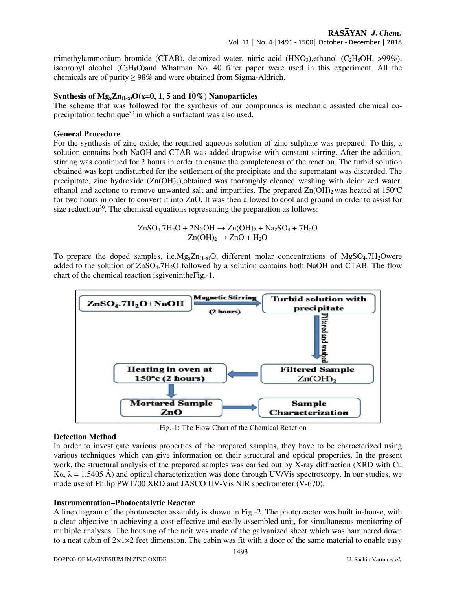trimethylammonium bromide (CTAB), deionized water, nitric acid (HNO3), ethanol (C<sub>2</sub>H<sub>5</sub>OH, >99%), isopropyl alcohol  $(C_3H_8O)$ and Whatman No. 40 filter paper were used in this experiment. All the chemicals are of purity  $\geq 98\%$  and were obtained from Sigma-Aldrich.

## **Synthesis of**  $Mg_x Zn_{(1-x)}O(x=0, 1, 5$  **and**  $10\%)$  **Nanoparticles**

The scheme that was followed for the synthesis of our compounds is mechanic assisted chemical coprecipitation technique<sup>30</sup> in which a surfactant was also used.

## **General Procedure**

For the synthesis of zinc oxide, the required aqueous solution of zinc sulphate was prepared. To this, a solution contains both NaOH and CTAB was added dropwise with constant stirring. After the addition, stirring was continued for 2 hours in order to ensure the completeness of the reaction. The turbid solution obtained was kept undisturbed for the settlement of the precipitate and the supernatant was discarded. The precipitate, zinc hydroxide  $(Zn(OH)_{2})$ , obtained was thoroughly cleaned washing with deionized water, ethanol and acetone to remove unwanted salt and impurities. The prepared  $\text{Zn}(\text{OH})_2$  was heated at 150°C for two hours in order to convert it into ZnO. It was then allowed to cool and ground in order to assist for size reduction $30$ . The chemical equations representing the preparation as follows:

$$
ZnSO_4.7H_2O + 2NaOH \rightarrow Zn(OH)_2 + Na_2SO_4 + 7H_2O
$$
  

$$
Zn(OH)_2 \rightarrow ZnO + H_2O
$$

To prepare the doped samples, i.e.Mg<sub>x</sub>Zn<sub>(1-x)</sub>O, different molar concentrations of MgSO<sub>4</sub>.7H<sub>2</sub>Owere added to the solution of ZnSO<sub>4</sub>.7H<sub>2</sub>O followed by a solution contains both NaOH and CTAB. The flow chart of the chemical reaction isgivenintheFig.-1.



Fig.-1: The Flow Chart of the Chemical Reaction

#### **Detection Method**

In order to investigate various properties of the prepared samples, they have to be characterized using various techniques which can give information on their structural and optical properties. In the present work, the structural analysis of the prepared samples was carried out by X-ray diffraction (XRD with Cu Kα,  $\lambda = 1.5405$  Å) and optical characterization was done through UV/V is spectroscopy. In our studies, we made use of Philip PW1700 XRD and JASCO UV-Vis NIR spectrometer (V-670).

## **Instrumentation–Photocatalytic Reactor**

A line diagram of the photoreactor assembly is shown in Fig.-2. The photoreactor was built in-house, with a clear objective in achieving a cost-effective and easily assembled unit, for simultaneous monitoring of multiple analyses. The housing of the unit was made of the galvanized sheet which was hammered down to a neat cabin of  $2\times1\times2$  feet dimension. The cabin was fit with a door of the same material to enable easy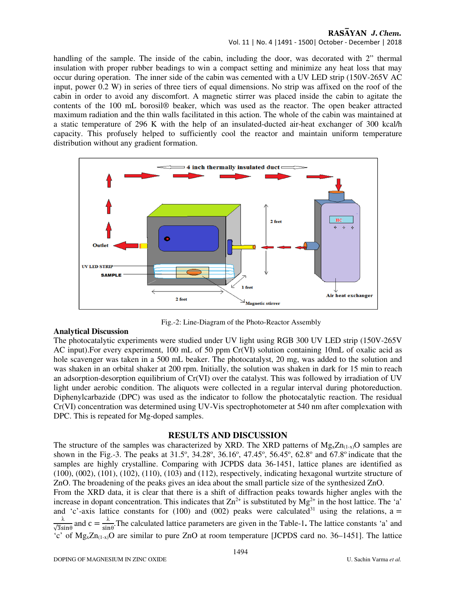Vol. 11 | No. 4 |1491 - 1500| October - December | 2018

handling of the sample. The inside of the cabin, including the door, was decorated with 2" thermal insulation with proper rubber beadings to win a compact setting and minimize any heat loss that may occur during operation. The inner side of the cabin was cemented with a UV LED strip (150V-265V AC input, power 0.2 W) in series of three tiers of equal dimensions. No strip was affixed on the roof of the cabin in order to avoid any discomfort. A magnetic stirrer was placed inside the cabin to agitate the contents of the 100 mL borosil® beaker, which was used as the reactor. The open beaker attracted maximum radiation and the thin walls facilitated in this action. The whole of the cabin was maintained at a static temperature of 296 K with the help of an insulated-ducted air-heat exchanger of 300 kcal/h capacity. This profusely helped to sufficiently cool the reactor and maintain uniform temperature distribution without any gradient formation.



Fig.-2: Line-Diagram of the Photo-Reactor Assembly

## **Analytical Discussion**

The photocatalytic experiments were studied under UV light using RGB 300 UV LED strip (150V-265V AC input).For every experiment, 100 mL of 50 ppm Cr(VI) solution containing 10mL of oxalic acid as hole scavenger was taken in a 500 mL beaker. The photocatalyst, 20 mg, was added to the solution and was shaken in an orbital shaker at 200 rpm. Initially, the solution was shaken in dark for 15 min to reach an adsorption-desorption equilibrium of Cr(VI) over the catalyst. This was followed by irradiation of UV light under aerobic condition. The aliquots were collected in a regular interval during photoreduction. Diphenylcarbazide (DPC) was used as the indicator to follow the photocatalytic reaction. The residual Cr(VI) concentration was determined using UV-Vis spectrophotometer at 540 nm after complexation with DPC. This is repeated for Mg-doped samples.

## **RESULTS AND DISCUSSION**

The structure of the samples was characterized by XRD. The XRD patterns of  $Mg_xZn_{(1-x)}O$  samples are shown in the Fig.-3. The peaks at  $31.5^{\circ}$ ,  $34.28^{\circ}$ ,  $36.16^{\circ}$ ,  $47.45^{\circ}$ ,  $56.45^{\circ}$ ,  $62.8^{\circ}$  and  $67.8^{\circ}$  indicate that the samples are highly crystalline. Comparing with JCPDS data 36-1451, lattice planes are identified as (100), (002), (101), (102), (110), (103) and (112), respectively, indicating hexagonal wurtzite structure of ZnO. The broadening of the peaks gives an idea about the small particle size of the synthesized ZnO.

From the XRD data, it is clear that there is a shift of diffraction peaks towards higher angles with the increase in dopant concentration. This indicates that  $Zn^{2+}$  is substituted by Mg<sup>2+</sup> in the host lattice. The 'a' and 'c'-axis lattice constants for (100) and (002) peaks were calculated<sup>31</sup> using the relations, a =  $\lambda$  and  $\lambda$  and  $\lambda$  and  $\lambda$  is the set of  $\lambda$  is the set of  $\lambda$  and  $\lambda$  is the set of  $\lambda$  and  $\lambda$  and  $\lambda$  is the set of  $\lambda$  and  $\lambda$  is the set of  $\lambda$  and  $\lambda$  is the set of  $\lambda$  and  $\lambda$  is the set of  $\lambda$  an  $\frac{\lambda}{\sqrt{3}\sin\theta}$  and  $c = \frac{\lambda}{\sin\theta}$  $\frac{\lambda}{\sin \theta}$ . The calculated lattice parameters are given in the Table-1. The lattice constants 'a' and  $\sim$  c' of Mg<sub>x</sub>Zn<sub>(1-x)</sub>O are similar to pure ZnO at room temperature [JCPDS card no. 36–1451]. The lattice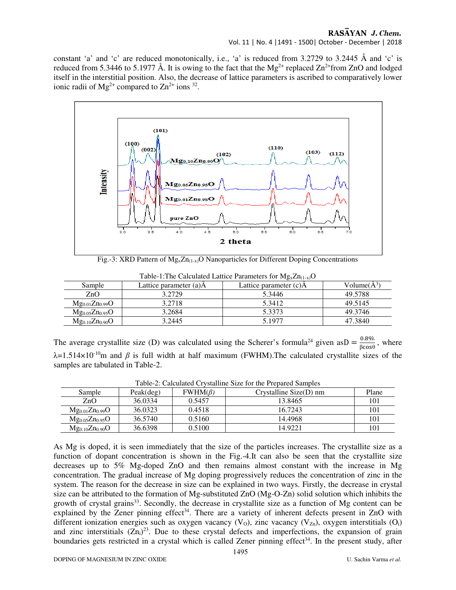Vol. 11 | No. 4 |1491 - 1500| October - December | 2018

constant 'a' and 'c' are reduced monotonically, i.e., 'a' is reduced from 3.2729 to 3.2445 Å and 'c' is reduced from 5.3446 to 5.1977 Å. It is owing to the fact that the  $Mg^{2+}$  replaced  $Zn^{2+}$ from ZnO and lodged itself in the interstitial position. Also, the decrease of lattice parameters is ascribed to comparatively lower ionic radii of  $Mg^{2+}$  compared to  $Zn^{2+}$  ions <sup>32</sup>.



Fig.-3: XRD Pattern of  $Mg_x Zn_{(1-x)}$ O Nanoparticles for Different Doping Concentrations

| Sample                | Lattice parameter (a)A | Lattice parameter (c)A | Volume $(A^3)$ |
|-----------------------|------------------------|------------------------|----------------|
| ZnO                   | 3.2729                 | 5.3446                 | 49.5788        |
| $Mg_{0.01}Zn_{0.99}O$ | 3.2718                 | 5.3412                 | 49.5145        |
| $Mg_{0.05}Zn_{0.95}O$ | 3.2684                 | 5.3373                 | 49.3746        |
| $Mg_{0.10}Zn_{0.90}O$ | 3.2445                 | 5.1977                 | 47.3840        |

Table-1:The Calculated Lattice Parameters for  $Mg_xZn_{(1-x)}O$ 

The average crystallite size (D) was calculated using the Scherer's formula<sup>24</sup> given as  $D = \frac{0.89\lambda}{\beta cos\theta}$ , where λ=1.514×10-10m and *β* is full width at half maximum (FWHM).The calculated crystallite sizes of the samples are tabulated in Table-2.

| Sample                | Peak(deg) | $FWHM(\beta)$ | Tuble 2. Calculated Crystamile Size for the Frebured Bulliples<br>Crystalline $Size(D)$ nm | Plane |
|-----------------------|-----------|---------------|--------------------------------------------------------------------------------------------|-------|
|                       |           |               |                                                                                            |       |
| ZnO                   | 36.0334   | 0.5457        | 13.8465                                                                                    | 101   |
| $Mg_{0.01}Zn_{0.99}O$ | 36.0323   | 0.4518        | 16.7243                                                                                    | 101   |
| $Mg_{0.05}Zn_{0.95}O$ | 36.5740   | 0.5160        | 14.4968                                                                                    | 101   |
| $Mg_{0.10}Zn_{0.90}O$ | 36.6398   | 0.5100        | 14.9221                                                                                    | 101   |

Table-2: Calculated Crystalline Size for the Prepared Samples

As Mg is doped, it is seen immediately that the size of the particles increases. The crystallite size as a function of dopant concentration is shown in the Fig.-4.It can also be seen that the crystallite size decreases up to 5% Mg-doped ZnO and then remains almost constant with the increase in Mg concentration. The gradual increase of Mg doping progressively reduces the concentration of zinc in the system. The reason for the decrease in size can be explained in two ways. Firstly, the decrease in crystal size can be attributed to the formation of Mg-substituted ZnO (Mg-O-Zn) solid solution which inhibits the growth of crystal grains<sup>33</sup>. Secondly, the decrease in crystallite size as a function of Mg content can be explained by the Zener pinning effect<sup>34</sup>. There are a variety of inherent defects present in ZnO with different ionization energies such as oxygen vacancy (V<sub>o</sub>), zinc vacancy (V<sub>zn</sub>), oxygen interstitials (O<sub>i</sub>) and zinc interstitials  $(Zn_i)^{23}$ . Due to these crystal defects and imperfections, the expansion of grain boundaries gets restricted in a crystal which is called Zener pinning effect<sup>34</sup>. In the present study, after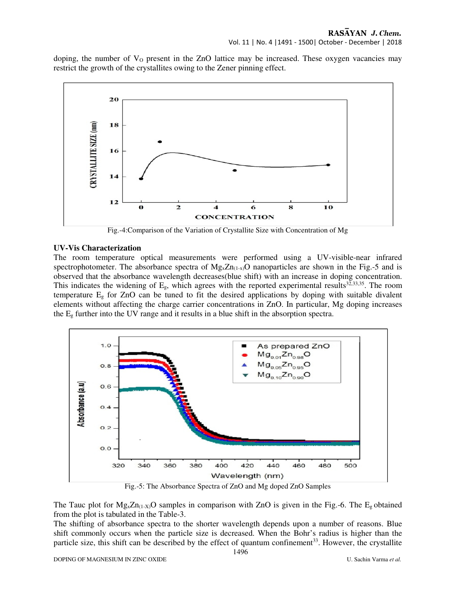doping, the number of  $V<sub>0</sub>$  present in the ZnO lattice may be increased. These oxygen vacancies may restrict the growth of the crystallites owing to the Zener pinning effect.



Fig.-4:Comparison of the Variation of Crystallite Size with Concentration of Mg

## **UV-Vis Characterization**

The room temperature optical measurements were performed using a UV-visible-near infrared spectrophotometer. The absorbance spectra of  $Mg_xZn_{(1-x)}O$  nanoparticles are shown in the Fig.-5 and is observed that the absorbance wavelength decreases(blue shift) with an increase in doping concentration. This indicates the widening of  $E_g$ , which agrees with the reported experimental results<sup>32,33,35</sup>. The room temperature Eg for ZnO can be tuned to fit the desired applications by doping with suitable divalent elements without affecting the charge carrier concentrations in ZnO. In particular, Mg doping increases the  $E<sub>g</sub>$  further into the UV range and it results in a blue shift in the absorption spectra.



Fig.-5: The Absorbance Spectra of ZnO and Mg doped ZnO Samples

The Tauc plot for  $Mg_x Zn_{(1-X)}$ O samples in comparison with ZnO is given in the Fig.-6. The E<sub>g</sub> obtained from the plot is tabulated in the Table-3.

The shifting of absorbance spectra to the shorter wavelength depends upon a number of reasons. Blue shift commonly occurs when the particle size is decreased. When the Bohr's radius is higher than the particle size, this shift can be described by the effect of quantum confinement<sup>33</sup>. However, the crystallite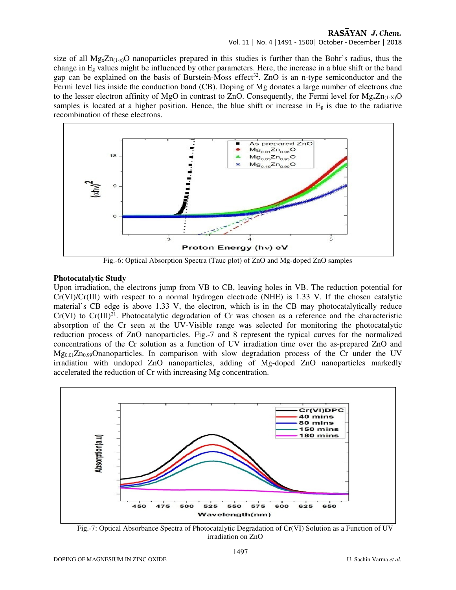## Vol. 11 | No. 4 |1491 - 1500| October - December | 2018

size of all  $Mg_xZn_{(1-x)}$ O nanoparticles prepared in this studies is further than the Bohr's radius, thus the change in  $E_g$  values might be influenced by other parameters. Here, the increase in a blue shift or the band gap can be explained on the basis of Burstein-Moss effect<sup>32</sup>. ZnO is an n-type semiconductor and the Fermi level lies inside the conduction band (CB). Doping of Mg donates a large number of electrons due to the lesser electron affinity of MgO in contrast to ZnO. Consequently, the Fermi level for  $Mg_x Zn_{(1-X)}O$ samples is located at a higher position. Hence, the blue shift or increase in  $E<sub>g</sub>$  is due to the radiative recombination of these electrons.



Fig.-6: Optical Absorption Spectra (Tauc plot) of ZnO and Mg-doped ZnO samples

## **Photocatalytic Study**

Upon irradiation, the electrons jump from VB to CB, leaving holes in VB. The reduction potential for  $Cr(VI)/Cr(III)$  with respect to a normal hydrogen electrode (NHE) is 1.33 V. If the chosen catalytic material's CB edge is above 1.33 V, the electron, which is in the CB may photocatalytically reduce  $Cr(VI)$  to  $Cr(III)^{21}$ . Photocatalytic degradation of Cr was chosen as a reference and the characteristic absorption of the Cr seen at the UV-Visible range was selected for monitoring the photocatalytic reduction process of ZnO nanoparticles. Fig.-7 and 8 represent the typical curves for the normalized concentrations of the Cr solution as a function of UV irradiation time over the as-prepared ZnO and  $Mg_{0.01}Z_{0.99}O$ nanoparticles. In comparison with slow degradation process of the Cr under the UV irradiation with undoped ZnO nanoparticles, adding of Mg-doped ZnO nanoparticles markedly accelerated the reduction of Cr with increasing Mg concentration.



Fig.-7: Optical Absorbance Spectra of Photocatalytic Degradation of Cr(VI) Solution as a Function of UV irradiation on ZnO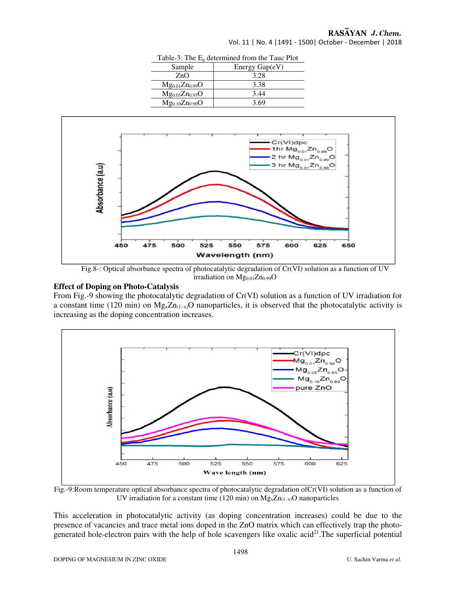| $\frac{1}{2}$ able-5. The $E_{\theta}$ determined from the T auc 1 for |                  |  |
|------------------------------------------------------------------------|------------------|--|
| Sample                                                                 | Energy $Gap(eV)$ |  |
| ZnO                                                                    | 3.28             |  |
| $Mg_{0.01}Zn_{0.99}O$                                                  | 3.38             |  |
| $Mg_{0.05}Zn_{0.95}O$                                                  | 3.44             |  |
| $Mg_{0.10}Zn_{0.90}O$                                                  | 3.69             |  |

Vol. 11 | No. 4 |1491 - 1500| October - December | 2018



Table-3: The Eg determined from the Tauc Plot

Fig.8-: Optical absorbance spectra of photocatalytic degradation of Cr(VI) solution as a function of UV irradiation on  $Mg_{0.01}Zn_{0.99}O$ 

#### **Effect of Doping on Photo-Catalysis**

From Fig.-9 showing the photocatalytic degradation of Cr(VI) solution as a function of UV irradiation for a constant time (120 min) on  $Mg_xZn_{(1-x)}O$  nanoparticles, it is observed that the photocatalytic activity is increasing as the doping concentration increases.



Fig.-9:Room temperature optical absorbance spectra of photocatalytic degradation ofCr(VI) solution as a function of UV irradiation for a constant time (120 min) on  $Mg_xZn_{(1-x)}$ O nanoparticles

This acceleration in photocatalytic activity (as doping concentration increases) could be due to the presence of vacancies and trace metal ions doped in the ZnO matrix which can effectively trap the photogenerated hole-electron pairs with the help of hole scavengers like oxalic acid<sup>21</sup>. The superficial potential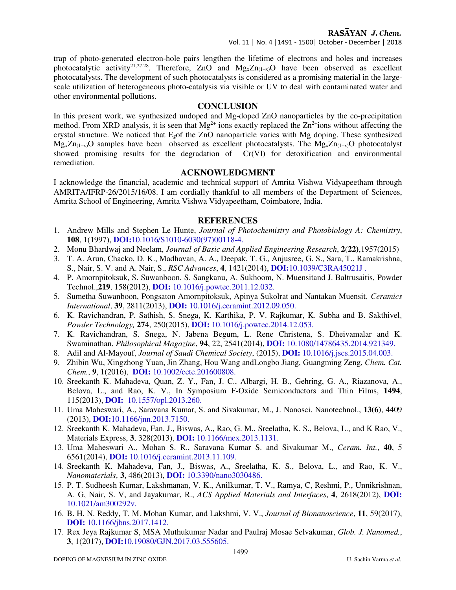## Vol. 11 | No. 4 |1491 - 1500| October - December | 2018

trap of photo-generated electron-hole pairs lengthen the lifetime of electrons and holes and increases photocatalytic activity<sup>21,27,28</sup>. Therefore, ZnO and  $Mg_xZn_{(1-x)}O$  have been observed as excellent photocatalysts. The development of such photocatalysts is considered as a promising material in the largescale utilization of heterogeneous photo-catalysis via visible or UV to deal with contaminated water and other environmental pollutions.

## **CONCLUSION**

In this present work, we synthesized undoped and Mg-doped ZnO nanoparticles by the co-precipitation method. From XRD analysis, it is seen that  $Mg^{2+}$  ions exactly replaced the  $Zn^{2+}$ ions without affecting the crystal structure. We noticed that Egof the ZnO nanoparticle varies with Mg doping. These synthesized  $Mg_xZn_{(1-x)}$ O samples have been observed as excellent photocatalysts. The  $Mg_xZn_{(1-x)}$ O photocatalyst showed promising results for the degradation of Cr(VI) for detoxification and environmental remediation.

## **ACKNOWLEDGMENT**

I acknowledge the financial, academic and technical support of Amrita Vishwa Vidyapeetham through AMRITA/IFRP-26/2015/16/08. I am cordially thankful to all members of the Department of Sciences, Amrita School of Engineering, Amrita Vishwa Vidyapeetham, Coimbatore, India.

## **REFERENCES**

- 1. Andrew Mills and Stephen Le Hunte, *Journal of Photochemistry and Photobiology A: Chemistry*, **108**, 1(1997), **DOI:**10.1016/S1010-6030(97)00118-4.
- 2. Monu Bhardwaj and Neelam, *Journal of Basic and Applied Engineering Research*, **2**(**22)**,1957(2015)
- 3. T. A. Arun, Chacko, D. K., Madhavan, A. A., Deepak, T. G., Anjusree, G. S., Sara, T., Ramakrishna, S., Nair, S. V. and A. Nair, S., *RSC Advances*, **4**, 1421(2014), **DOI:**10.1039/C3RA45021J .
- 4. P. Amornpitoksuk, S. Suwanboon, S. Sangkanu, A. Sukhoom, N. Muensitand J. Baltrusaitis, Powder Technol.,**219**, 158(2012), **DOI:** 10.1016/j.powtec.2011.12.032.
- 5. Sumetha Suwanboon, Pongsaton Amornpitoksuk, Apinya Sukolrat and Nantakan Muensit, *Ceramics International*, **39**, 2811(2013), **DOI:** 10.1016/j.ceramint.2012.09.050.
- 6. K. Ravichandran, P. Sathish, S. Snega, K. Karthika, P. V. Rajkumar, K. Subha and B. Sakthivel, *Powder Technology,* **27**4, 250(2015), **DOI:** 10.1016/j.powtec.2014.12.053.
- 7. K. Ravichandran, S. Snega, N. Jabena Begum, L. Rene Christena, S. Dheivamalar and K. Swaminathan, *Philosophical Magazine*, **94**, 22, 2541(2014), **DOI:** 10.1080/14786435.2014.921349.
- 8. Adil and Al-Mayouf, *Journal of Saudi Chemical Society*, (2015), **DOI:** 10.1016/j.jscs.2015.04.003.
- 9. Zhibin Wu, Xingzhong Yuan, Jin Zhang, Hou Wang andLongbo Jiang, Guangming Zeng, *Chem. Cat. Chem.*, **9**, 1(2016), **DOI:** 10.1002/cctc.201600808.
- 10. Sreekanth K. Mahadeva, Quan, Z. Y., Fan, J. C., Albargi, H. B., Gehring, G. A., Riazanova, A., Belova, L., and Rao, K. V., In Symposium F-Oxide Semiconductors and Thin Films, **1494**, 115(2013), **DOI:** 10.1557/opl.2013.260.
- 11. Uma Maheswari, A., Saravana Kumar, S. and Sivakumar, M., J. Nanosci. Nanotechnol., **13(6)**, 4409 (2013), **DOI:**10.1166/jnn.2013.7150.
- 12. Sreekanth K. Mahadeva, Fan, J., Biswas, A., Rao, G. M., Sreelatha, K. S., Belova, L., and K Rao, V., Materials Express, **3**, 328(2013), **DOI:** 10.1166/mex.2013.1131.
- 13. Uma Maheswari A., Mohan S. R., Saravana Kumar S. and Sivakumar M., *Ceram. Int.*, **40**, 5 6561(2014), **DOI:** 10.1016/j.ceramint.2013.11.109.
- 14. Sreekanth K. Mahadeva, Fan, J., Biswas, A., Sreelatha, K. S., Belova, L., and Rao, K. V., *Nanomaterials*, **3**, 486(2013), **DOI:** 10.3390/nano3030486.
- 15. P. T. Sudheesh Kumar, Lakshmanan, V. K., Anilkumar, T. V., Ramya, C, Reshmi, P., Unnikrishnan, A. G, Nair, S. V, and Jayakumar, R., *ACS Applied Materials and Interfaces*, **4**, 2618(2012), **DOI:**  10.1021/am300292v.
- 16. B. H. N. Reddy, T. M. Mohan Kumar, and Lakshmi, V. V., *Journal of Bionanoscience*, **11**, 59(2017), **DOI:** 10.1166/jbns.2017.1412.
- 17. Rex Jeya Rajkumar S, MSA Muthukumar Nadar and Paulraj Mosae Selvakumar, *Glob. J. Nanomed.*, **3**, 1(2017), **DOI:**10.19080/GJN.2017.03.555605.